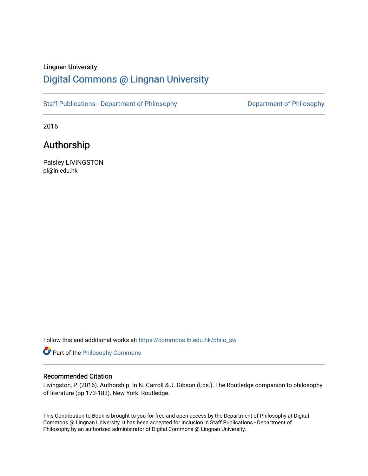# Lingnan University [Digital Commons @ Lingnan University](https://commons.ln.edu.hk/)

[Staff Publications - Department of Philosophy](https://commons.ln.edu.hk/philo_sw) **Department of Philosophy** 

2016

# Authorship

Paisley LIVINGSTON pl@ln.edu.hk

Follow this and additional works at: [https://commons.ln.edu.hk/philo\\_sw](https://commons.ln.edu.hk/philo_sw?utm_source=commons.ln.edu.hk%2Fphilo_sw%2F2&utm_medium=PDF&utm_campaign=PDFCoverPages) 

Part of the [Philosophy Commons](http://network.bepress.com/hgg/discipline/525?utm_source=commons.ln.edu.hk%2Fphilo_sw%2F2&utm_medium=PDF&utm_campaign=PDFCoverPages) 

### Recommended Citation

Livingston, P. (2016). Authorship. In N. Carroll & J. Gibson (Eds.), The Routledge companion to philosophy of literature (pp.173-183). New York: Routledge.

This Contribution to Book is brought to you for free and open access by the Department of Philosophy at Digital Commons @ Lingnan University. It has been accepted for inclusion in Staff Publications - Department of Philosophy by an authorized administrator of Digital Commons @ Lingnan University.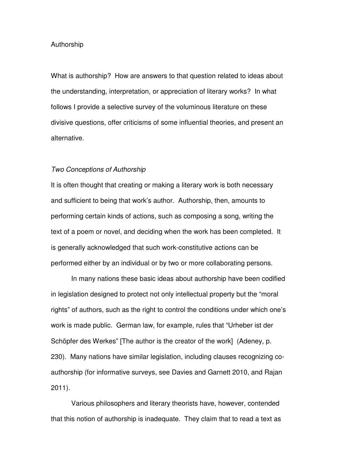## Authorship

What is authorship? How are answers to that question related to ideas about the understanding, interpretation, or appreciation of literary works? In what follows I provide a selective survey of the voluminous literature on these divisive questions, offer criticisms of some influential theories, and present an alternative.

#### Two Conceptions of Authorship

It is often thought that creating or making a literary work is both necessary and sufficient to being that work's author. Authorship, then, amounts to performing certain kinds of actions, such as composing a song, writing the text of a poem or novel, and deciding when the work has been completed. It is generally acknowledged that such work-constitutive actions can be performed either by an individual or by two or more collaborating persons.

In many nations these basic ideas about authorship have been codified in legislation designed to protect not only intellectual property but the "moral rights" of authors, such as the right to control the conditions under which one's work is made public. German law, for example, rules that "Urheber ist der Schöpfer des Werkes" [The author is the creator of the work] (Adeney, p. 230). Many nations have similar legislation, including clauses recognizing coauthorship (for informative surveys, see Davies and Garnett 2010, and Rajan 2011).

Various philosophers and literary theorists have, however, contended that this notion of authorship is inadequate. They claim that to read a text as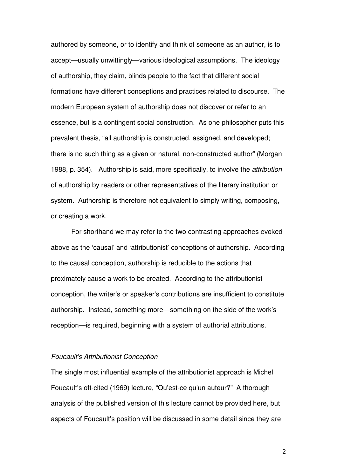authored by someone, or to identify and think of someone as an author, is to accept—usually unwittingly—various ideological assumptions. The ideology of authorship, they claim, blinds people to the fact that different social formations have different conceptions and practices related to discourse. The modern European system of authorship does not discover or refer to an essence, but is a contingent social construction. As one philosopher puts this prevalent thesis, "all authorship is constructed, assigned, and developed; there is no such thing as a given or natural, non-constructed author" (Morgan 1988, p. 354). Authorship is said, more specifically, to involve the attribution of authorship by readers or other representatives of the literary institution or system. Authorship is therefore not equivalent to simply writing, composing, or creating a work.

For shorthand we may refer to the two contrasting approaches evoked above as the 'causal' and 'attributionist' conceptions of authorship. According to the causal conception, authorship is reducible to the actions that proximately cause a work to be created. According to the attributionist conception, the writer's or speaker's contributions are insufficient to constitute authorship. Instead, something more—something on the side of the work's reception—is required, beginning with a system of authorial attributions.

## Foucault's Attributionist Conception

The single most influential example of the attributionist approach is Michel Foucault's oft-cited (1969) lecture, "Qu'est-ce qu'un auteur?" A thorough analysis of the published version of this lecture cannot be provided here, but aspects of Foucault's position will be discussed in some detail since they are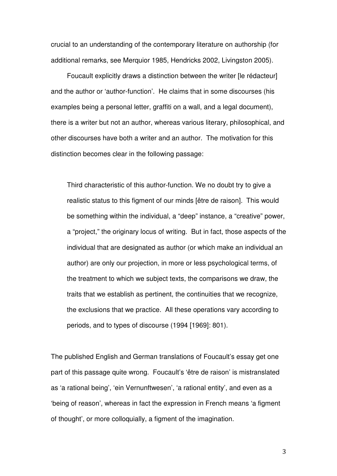crucial to an understanding of the contemporary literature on authorship (for additional remarks, see Merquior 1985, Hendricks 2002, Livingston 2005).

Foucault explicitly draws a distinction between the writer [le rédacteur] and the author or 'author-function'. He claims that in some discourses (his examples being a personal letter, graffiti on a wall, and a legal document), there is a writer but not an author, whereas various literary, philosophical, and other discourses have both a writer and an author. The motivation for this distinction becomes clear in the following passage:

Third characteristic of this author-function. We no doubt try to give a realistic status to this figment of our minds [être de raison]. This would be something within the individual, a "deep" instance, a "creative" power, a "project," the originary locus of writing. But in fact, those aspects of the individual that are designated as author (or which make an individual an author) are only our projection, in more or less psychological terms, of the treatment to which we subject texts, the comparisons we draw, the traits that we establish as pertinent, the continuities that we recognize, the exclusions that we practice. All these operations vary according to periods, and to types of discourse (1994 [1969]: 801).

The published English and German translations of Foucault's essay get one part of this passage quite wrong. Foucault's 'être de raison' is mistranslated as 'a rational being', 'ein Vernunftwesen', 'a rational entity', and even as a 'being of reason', whereas in fact the expression in French means 'a figment of thought', or more colloquially, a figment of the imagination.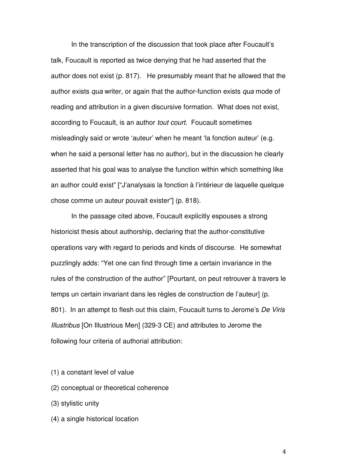In the transcription of the discussion that took place after Foucault's talk, Foucault is reported as twice denying that he had asserted that the author does not exist (p. 817). He presumably meant that he allowed that the author exists qua writer, or again that the author-function exists qua mode of reading and attribution in a given discursive formation. What does not exist, according to Foucault, is an author tout court. Foucault sometimes misleadingly said or wrote 'auteur' when he meant 'la fonction auteur' (e.g. when he said a personal letter has no author), but in the discussion he clearly asserted that his goal was to analyse the function within which something like an author could exist" ["J'analysais la fonction à l'intérieur de laquelle quelque chose comme un auteur pouvait exister"] (p. 818).

In the passage cited above, Foucault explicitly espouses a strong historicist thesis about authorship, declaring that the author-constitutive operations vary with regard to periods and kinds of discourse. He somewhat puzzlingly adds: "Yet one can find through time a certain invariance in the rules of the construction of the author" [Pourtant, on peut retrouver à travers le temps un certain invariant dans les règles de construction de l'auteur] (p. 801). In an attempt to flesh out this claim, Foucault turns to Jerome's De Viris Illustribus [On Illustrious Men] (329-3 CE) and attributes to Jerome the following four criteria of authorial attribution:

- (1) a constant level of value
- (2) conceptual or theoretical coherence
- (3) stylistic unity
- (4) a single historical location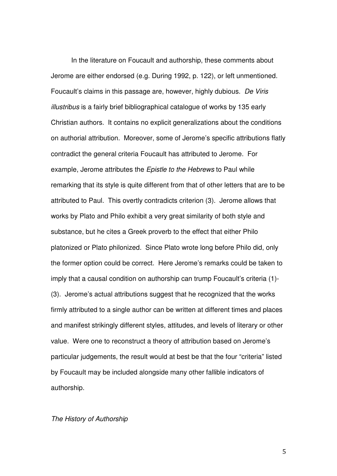In the literature on Foucault and authorship, these comments about Jerome are either endorsed (e.g. During 1992, p. 122), or left unmentioned. Foucault's claims in this passage are, however, highly dubious. De Viris illustribus is a fairly brief bibliographical catalogue of works by 135 early Christian authors. It contains no explicit generalizations about the conditions on authorial attribution. Moreover, some of Jerome's specific attributions flatly contradict the general criteria Foucault has attributed to Jerome. For example, Jerome attributes the Epistle to the Hebrews to Paul while remarking that its style is quite different from that of other letters that are to be attributed to Paul. This overtly contradicts criterion (3). Jerome allows that works by Plato and Philo exhibit a very great similarity of both style and substance, but he cites a Greek proverb to the effect that either Philo platonized or Plato philonized. Since Plato wrote long before Philo did, only the former option could be correct. Here Jerome's remarks could be taken to imply that a causal condition on authorship can trump Foucault's criteria (1)- (3). Jerome's actual attributions suggest that he recognized that the works firmly attributed to a single author can be written at different times and places and manifest strikingly different styles, attitudes, and levels of literary or other value. Were one to reconstruct a theory of attribution based on Jerome's particular judgements, the result would at best be that the four "criteria" listed by Foucault may be included alongside many other fallible indicators of authorship.

## The History of Authorship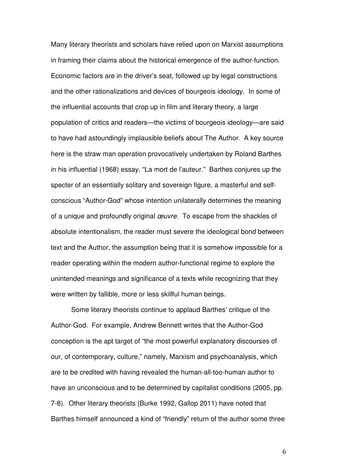Many literary theorists and scholars have relied upon on Marxist assumptions in framing their claims about the historical emergence of the author-function. Economic factors are in the driver's seat, followed up by legal constructions and the other rationalizations and devices of bourgeois ideology. In some of the influential accounts that crop up in film and literary theory, a large population of critics and readers—the victims of bourgeois ideology—are said to have had astoundingly implausible beliefs about The Author. A key source here is the straw man operation provocatively undertaken by Roland Barthes in his influential (1968) essay, "La mort de l'auteur." Barthes conjures up the specter of an essentially solitary and sovereign figure, a masterful and selfconscious "Author-God" whose intention unilaterally determines the meaning of a unique and profoundly original œuvre. To escape from the shackles of absolute intentionalism, the reader must severe the ideological bond between text and the Author, the assumption being that it is somehow impossible for a reader operating within the modern author-functional regime to explore the unintended meanings and significance of a texts while recognizing that they were written by fallible, more or less skillful human beings.

Some literary theorists continue to applaud Barthes' critique of the Author-God. For example, Andrew Bennett writes that the Author-God conception is the apt target of "the most powerful explanatory discourses of our, of contemporary, culture," namely, Marxism and psychoanalysis, which are to be credited with having revealed the human-all-too-human author to have an unconscious and to be determined by capitalist conditions (2005, pp. 7-8). Other literary theorists (Burke 1992, Gallop 2011) have noted that Barthes himself announced a kind of "friendly" return of the author some three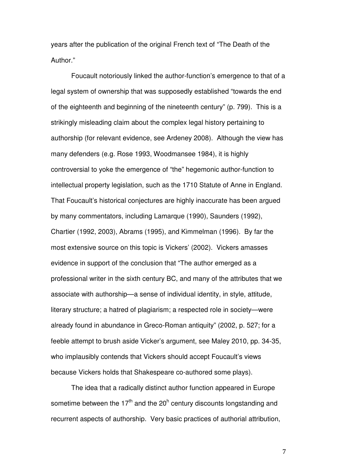years after the publication of the original French text of "The Death of the Author."

Foucault notoriously linked the author-function's emergence to that of a legal system of ownership that was supposedly established "towards the end of the eighteenth and beginning of the nineteenth century" (p. 799). This is a strikingly misleading claim about the complex legal history pertaining to authorship (for relevant evidence, see Ardeney 2008). Although the view has many defenders (e.g. Rose 1993, Woodmansee 1984), it is highly controversial to yoke the emergence of "the" hegemonic author-function to intellectual property legislation, such as the 1710 Statute of Anne in England. That Foucault's historical conjectures are highly inaccurate has been argued by many commentators, including Lamarque (1990), Saunders (1992), Chartier (1992, 2003), Abrams (1995), and Kimmelman (1996). By far the most extensive source on this topic is Vickers' (2002). Vickers amasses evidence in support of the conclusion that "The author emerged as a professional writer in the sixth century BC, and many of the attributes that we associate with authorship—a sense of individual identity, in style, attitude, literary structure; a hatred of plagiarism; a respected role in society—were already found in abundance in Greco-Roman antiquity" (2002, p. 527; for a feeble attempt to brush aside Vicker's argument, see Maley 2010, pp. 34-35, who implausibly contends that Vickers should accept Foucault's views because Vickers holds that Shakespeare co-authored some plays).

 The idea that a radically distinct author function appeared in Europe sometime between the 17<sup>th</sup> and the 20<sup>h</sup> century discounts longstanding and recurrent aspects of authorship. Very basic practices of authorial attribution,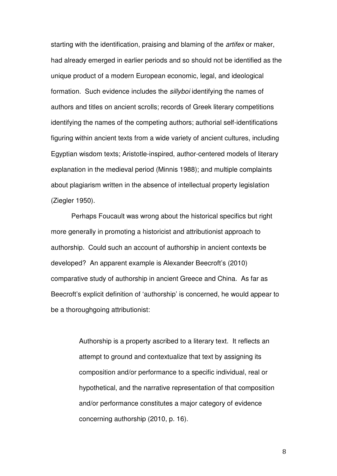starting with the identification, praising and blaming of the artifex or maker, had already emerged in earlier periods and so should not be identified as the unique product of a modern European economic, legal, and ideological formation. Such evidence includes the sillyboi identifying the names of authors and titles on ancient scrolls; records of Greek literary competitions identifying the names of the competing authors; authorial self-identifications figuring within ancient texts from a wide variety of ancient cultures, including Egyptian wisdom texts; Aristotle-inspired, author-centered models of literary explanation in the medieval period (Minnis 1988); and multiple complaints about plagiarism written in the absence of intellectual property legislation (Ziegler 1950).

Perhaps Foucault was wrong about the historical specifics but right more generally in promoting a historicist and attributionist approach to authorship. Could such an account of authorship in ancient contexts be developed? An apparent example is Alexander Beecroft's (2010) comparative study of authorship in ancient Greece and China. As far as Beecroft's explicit definition of 'authorship' is concerned, he would appear to be a thoroughgoing attributionist:

> Authorship is a property ascribed to a literary text. It reflects an attempt to ground and contextualize that text by assigning its composition and/or performance to a specific individual, real or hypothetical, and the narrative representation of that composition and/or performance constitutes a major category of evidence concerning authorship (2010, p. 16).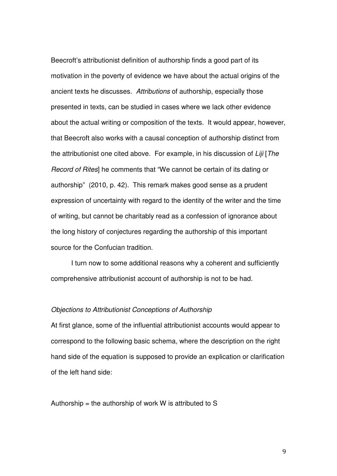Beecroft's attributionist definition of authorship finds a good part of its motivation in the poverty of evidence we have about the actual origins of the ancient texts he discusses. Attributions of authorship, especially those presented in texts, can be studied in cases where we lack other evidence about the actual writing or composition of the texts. It would appear, however, that Beecroft also works with a causal conception of authorship distinct from the attributionist one cited above. For example, in his discussion of Liji [The Record of Rites] he comments that "We cannot be certain of its dating or authorship" (2010, p. 42). This remark makes good sense as a prudent expression of uncertainty with regard to the identity of the writer and the time of writing, but cannot be charitably read as a confession of ignorance about the long history of conjectures regarding the authorship of this important source for the Confucian tradition.

 I turn now to some additional reasons why a coherent and sufficiently comprehensive attributionist account of authorship is not to be had.

## Objections to Attributionist Conceptions of Authorship

At first glance, some of the influential attributionist accounts would appear to correspond to the following basic schema, where the description on the right hand side of the equation is supposed to provide an explication or clarification of the left hand side:

Authorship = the authorship of work W is attributed to S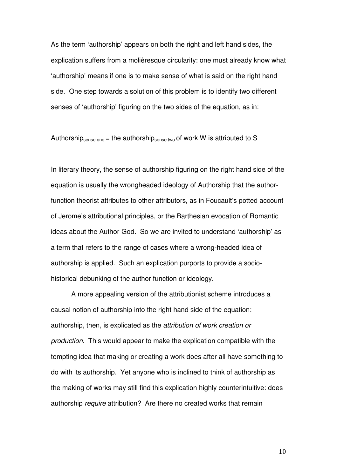As the term 'authorship' appears on both the right and left hand sides, the explication suffers from a molièresque circularity: one must already know what 'authorship' means if one is to make sense of what is said on the right hand side. One step towards a solution of this problem is to identify two different senses of 'authorship' figuring on the two sides of the equation, as in:

Authorship<sub>sense one</sub> = the authorship<sub>sense two</sub> of work W is attributed to S

In literary theory, the sense of authorship figuring on the right hand side of the equation is usually the wrongheaded ideology of Authorship that the authorfunction theorist attributes to other attributors, as in Foucault's potted account of Jerome's attributional principles, or the Barthesian evocation of Romantic ideas about the Author-God. So we are invited to understand 'authorship' as a term that refers to the range of cases where a wrong-headed idea of authorship is applied. Such an explication purports to provide a sociohistorical debunking of the author function or ideology.

A more appealing version of the attributionist scheme introduces a causal notion of authorship into the right hand side of the equation: authorship, then, is explicated as the attribution of work creation or production. This would appear to make the explication compatible with the tempting idea that making or creating a work does after all have something to do with its authorship. Yet anyone who is inclined to think of authorship as the making of works may still find this explication highly counterintuitive: does authorship require attribution? Are there no created works that remain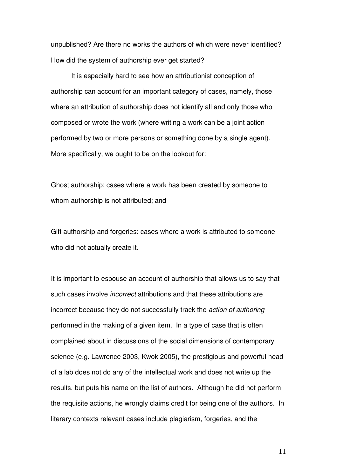unpublished? Are there no works the authors of which were never identified? How did the system of authorship ever get started?

It is especially hard to see how an attributionist conception of authorship can account for an important category of cases, namely, those where an attribution of authorship does not identify all and only those who composed or wrote the work (where writing a work can be a joint action performed by two or more persons or something done by a single agent). More specifically, we ought to be on the lookout for:

Ghost authorship: cases where a work has been created by someone to whom authorship is not attributed; and

Gift authorship and forgeries: cases where a work is attributed to someone who did not actually create it.

It is important to espouse an account of authorship that allows us to say that such cases involve *incorrect* attributions and that these attributions are incorrect because they do not successfully track the action of authoring performed in the making of a given item. In a type of case that is often complained about in discussions of the social dimensions of contemporary science (e.g. Lawrence 2003, Kwok 2005), the prestigious and powerful head of a lab does not do any of the intellectual work and does not write up the results, but puts his name on the list of authors. Although he did not perform the requisite actions, he wrongly claims credit for being one of the authors. In literary contexts relevant cases include plagiarism, forgeries, and the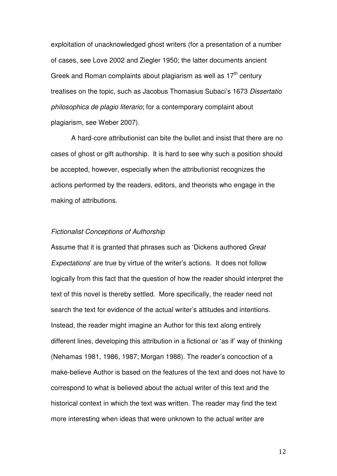exploitation of unacknowledged ghost writers (for a presentation of a number of cases, see Love 2002 and Ziegler 1950; the latter documents ancient Greek and Roman complaints about plagiarism as well as  $17<sup>th</sup>$  century treatises on the topic, such as Jacobus Thomasius Subaci's 1673 Dissertatio philosophica de plagio literario; for a contemporary complaint about plagiarism, see Weber 2007).

 A hard-core attributionist can bite the bullet and insist that there are no cases of ghost or gift authorship. It is hard to see why such a position should be accepted, however, especially when the attributionist recognizes the actions performed by the readers, editors, and theorists who engage in the making of attributions.

## Fictionalist Conceptions of Authorship

Assume that it is granted that phrases such as 'Dickens authored Great Expectations' are true by virtue of the writer's actions. It does not follow logically from this fact that the question of how the reader should interpret the text of this novel is thereby settled. More specifically, the reader need not search the text for evidence of the actual writer's attitudes and intentions. Instead, the reader might imagine an Author for this text along entirely different lines, developing this attribution in a fictional or 'as if' way of thinking (Nehamas 1981, 1986, 1987; Morgan 1988). The reader's concoction of a make-believe Author is based on the features of the text and does not have to correspond to what is believed about the actual writer of this text and the historical context in which the text was written. The reader may find the text more interesting when ideas that were unknown to the actual writer are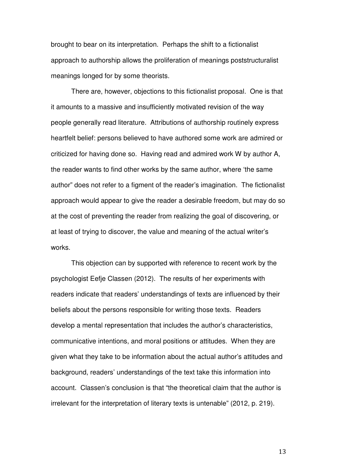brought to bear on its interpretation. Perhaps the shift to a fictionalist approach to authorship allows the proliferation of meanings poststructuralist meanings longed for by some theorists.

There are, however, objections to this fictionalist proposal. One is that it amounts to a massive and insufficiently motivated revision of the way people generally read literature. Attributions of authorship routinely express heartfelt belief: persons believed to have authored some work are admired or criticized for having done so. Having read and admired work W by author A, the reader wants to find other works by the same author, where 'the same author" does not refer to a figment of the reader's imagination. The fictionalist approach would appear to give the reader a desirable freedom, but may do so at the cost of preventing the reader from realizing the goal of discovering, or at least of trying to discover, the value and meaning of the actual writer's works.

This objection can by supported with reference to recent work by the psychologist Eefje Classen (2012). The results of her experiments with readers indicate that readers' understandings of texts are influenced by their beliefs about the persons responsible for writing those texts. Readers develop a mental representation that includes the author's characteristics, communicative intentions, and moral positions or attitudes. When they are given what they take to be information about the actual author's attitudes and background, readers' understandings of the text take this information into account. Classen's conclusion is that "the theoretical claim that the author is irrelevant for the interpretation of literary texts is untenable" (2012, p. 219).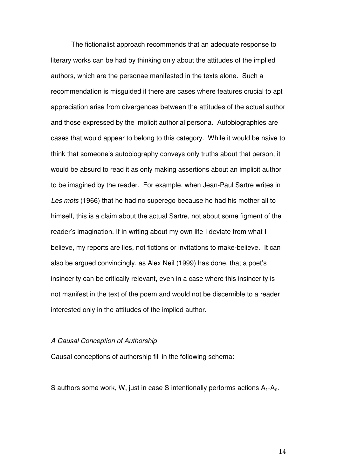The fictionalist approach recommends that an adequate response to literary works can be had by thinking only about the attitudes of the implied authors, which are the personae manifested in the texts alone. Such a recommendation is misguided if there are cases where features crucial to apt appreciation arise from divergences between the attitudes of the actual author and those expressed by the implicit authorial persona. Autobiographies are cases that would appear to belong to this category. While it would be naive to think that someone's autobiography conveys only truths about that person, it would be absurd to read it as only making assertions about an implicit author to be imagined by the reader. For example, when Jean-Paul Sartre writes in Les mots (1966) that he had no superego because he had his mother all to himself, this is a claim about the actual Sartre, not about some figment of the reader's imagination. If in writing about my own life I deviate from what I believe, my reports are lies, not fictions or invitations to make-believe. It can also be argued convincingly, as Alex Neil (1999) has done, that a poet's insincerity can be critically relevant, even in a case where this insincerity is not manifest in the text of the poem and would not be discernible to a reader interested only in the attitudes of the implied author.

## A Causal Conception of Authorship

Causal conceptions of authorship fill in the following schema:

S authors some work, W, just in case S intentionally performs actions  $A_1 - A_n$ .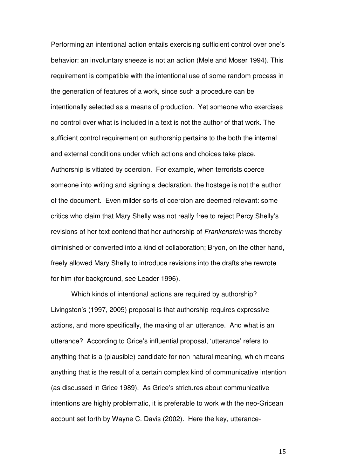Performing an intentional action entails exercising sufficient control over one's behavior: an involuntary sneeze is not an action (Mele and Moser 1994). This requirement is compatible with the intentional use of some random process in the generation of features of a work, since such a procedure can be intentionally selected as a means of production. Yet someone who exercises no control over what is included in a text is not the author of that work. The sufficient control requirement on authorship pertains to the both the internal and external conditions under which actions and choices take place. Authorship is vitiated by coercion. For example, when terrorists coerce someone into writing and signing a declaration, the hostage is not the author of the document. Even milder sorts of coercion are deemed relevant: some critics who claim that Mary Shelly was not really free to reject Percy Shelly's revisions of her text contend that her authorship of Frankenstein was thereby diminished or converted into a kind of collaboration; Bryon, on the other hand, freely allowed Mary Shelly to introduce revisions into the drafts she rewrote for him (for background, see Leader 1996).

Which kinds of intentional actions are required by authorship? Livingston's (1997, 2005) proposal is that authorship requires expressive actions, and more specifically, the making of an utterance. And what is an utterance? According to Grice's influential proposal, 'utterance' refers to anything that is a (plausible) candidate for non-natural meaning, which means anything that is the result of a certain complex kind of communicative intention (as discussed in Grice 1989). As Grice's strictures about communicative intentions are highly problematic, it is preferable to work with the neo-Gricean account set forth by Wayne C. Davis (2002). Here the key, utterance-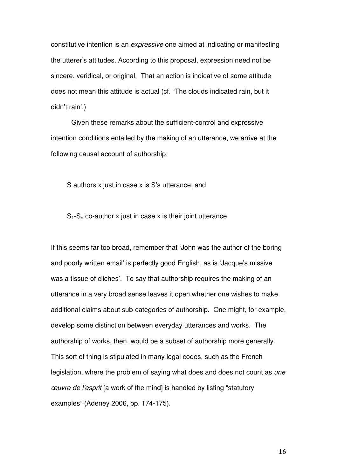constitutive intention is an expressive one aimed at indicating or manifesting the utterer's attitudes. According to this proposal, expression need not be sincere, veridical, or original. That an action is indicative of some attitude does not mean this attitude is actual (cf. "The clouds indicated rain, but it didn't rain'.)

Given these remarks about the sufficient-control and expressive intention conditions entailed by the making of an utterance, we arrive at the following causal account of authorship:

S authors x just in case x is S's utterance; and

 $S_1-S_n$  co-author x just in case x is their joint utterance

If this seems far too broad, remember that 'John was the author of the boring and poorly written email' is perfectly good English, as is 'Jacque's missive was a tissue of cliches'. To say that authorship requires the making of an utterance in a very broad sense leaves it open whether one wishes to make additional claims about sub-categories of authorship. One might, for example, develop some distinction between everyday utterances and works. The authorship of works, then, would be a subset of authorship more generally. This sort of thing is stipulated in many legal codes, such as the French legislation, where the problem of saying what does and does not count as *une* œuvre de l'esprit [a work of the mind] is handled by listing "statutory examples" (Adeney 2006, pp. 174-175).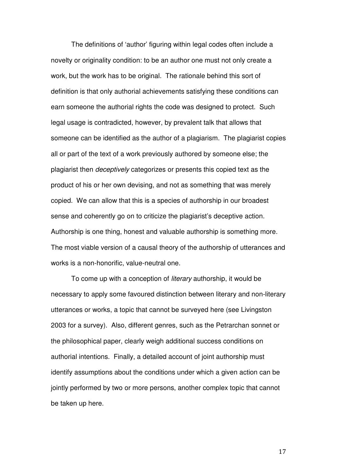The definitions of 'author' figuring within legal codes often include a novelty or originality condition: to be an author one must not only create a work, but the work has to be original. The rationale behind this sort of definition is that only authorial achievements satisfying these conditions can earn someone the authorial rights the code was designed to protect. Such legal usage is contradicted, however, by prevalent talk that allows that someone can be identified as the author of a plagiarism. The plagiarist copies all or part of the text of a work previously authored by someone else; the plagiarist then deceptively categorizes or presents this copied text as the product of his or her own devising, and not as something that was merely copied. We can allow that this is a species of authorship in our broadest sense and coherently go on to criticize the plagiarist's deceptive action. Authorship is one thing, honest and valuable authorship is something more. The most viable version of a causal theory of the authorship of utterances and works is a non-honorific, value-neutral one.

To come up with a conception of literary authorship, it would be necessary to apply some favoured distinction between literary and non-literary utterances or works, a topic that cannot be surveyed here (see Livingston 2003 for a survey). Also, different genres, such as the Petrarchan sonnet or the philosophical paper, clearly weigh additional success conditions on authorial intentions. Finally, a detailed account of joint authorship must identify assumptions about the conditions under which a given action can be jointly performed by two or more persons, another complex topic that cannot be taken up here.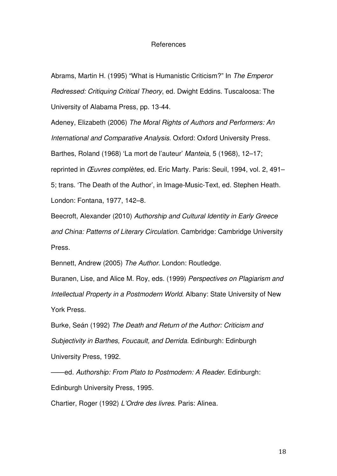## References

Abrams, Martin H. (1995) "What is Humanistic Criticism?" In The Emperor Redressed: Critiquing Critical Theory, ed. Dwight Eddins. Tuscaloosa: The University of Alabama Press, pp. 13-44.

Adeney, Elizabeth (2006) The Moral Rights of Authors and Performers: An International and Comparative Analysis. Oxford: Oxford University Press. Barthes, Roland (1968) 'La mort de l'auteur' Manteia, 5 (1968), 12–17; reprinted in Œuvres complètes, ed. Eric Marty. Paris: Seuil, 1994, vol. 2, 491– 5; trans. 'The Death of the Author', in Image-Music-Text, ed. Stephen Heath. London: Fontana, 1977, 142–8.

Beecroft, Alexander (2010) Authorship and Cultural Identity in Early Greece and China: Patterns of Literary Circulation. Cambridge: Cambridge University Press.

Bennett, Andrew (2005) The Author. London: Routledge.

Buranen, Lise, and Alice M. Roy, eds. (1999) Perspectives on Plagiarism and Intellectual Property in a Postmodern World. Albany: State University of New York Press.

Burke, Seán (1992) The Death and Return of the Author: Criticism and Subjectivity in Barthes, Foucault, and Derrida. Edinburgh: Edinburgh University Press, 1992.

——ed. Authorship: From Plato to Postmodern: A Reader. Edinburgh: Edinburgh University Press, 1995.

Chartier, Roger (1992) L'Ordre des livres. Paris: Alinea.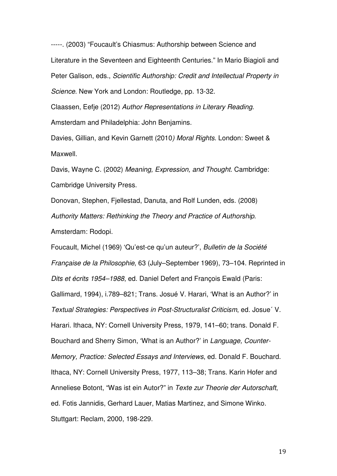-----. (2003) "Foucault's Chiasmus: Authorship between Science and Literature in the Seventeen and Eighteenth Centuries." In Mario Biagioli and Peter Galison, eds., Scientific Authorship: Credit and Intellectual Property in Science. New York and London: Routledge, pp. 13-32.

Claassen, Eefje (2012) Author Representations in Literary Reading. Amsterdam and Philadelphia: John Benjamins.

Davies, Gillian, and Kevin Garnett (2010) Moral Rights. London: Sweet & Maxwell.

Davis, Wayne C. (2002) Meaning, Expression, and Thought. Cambridge: Cambridge University Press.

Donovan, Stephen, Fjellestad, Danuta, and Rolf Lunden, eds. (2008) Authority Matters: Rethinking the Theory and Practice of Authorship. Amsterdam: Rodopi.

Foucault, Michel (1969) 'Qu'est-ce qu'un auteur?', Bulletin de la Société Française de la Philosophie, 63 (July–September 1969), 73–104. Reprinted in Dits et écrits 1954–1988, ed. Daniel Defert and François Ewald (Paris: Gallimard, 1994), i.789–821; Trans. Josué V. Harari, 'What is an Author?' in Textual Strategies: Perspectives in Post-Structuralist Criticism, ed. Josue´ V. Harari. Ithaca, NY: Cornell University Press, 1979, 141–60; trans. Donald F. Bouchard and Sherry Simon, 'What is an Author?' in Language, Counter-Memory, Practice: Selected Essays and Interviews, ed. Donald F. Bouchard. Ithaca, NY: Cornell University Press, 1977, 113–38; Trans. Karin Hofer and Anneliese Botont, "Was ist ein Autor?" in Texte zur Theorie der Autorschaft, ed. Fotis Jannidis, Gerhard Lauer, Matias Martinez, and Simone Winko. Stuttgart: Reclam, 2000, 198-229.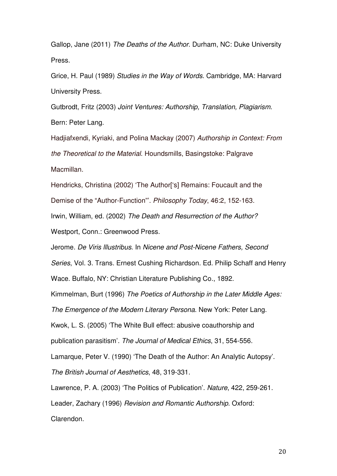Gallop, Jane (2011) The Deaths of the Author. Durham, NC: Duke University Press.

Grice, H. Paul (1989) Studies in the Way of Words. Cambridge, MA: Harvard University Press.

Gutbrodt, Fritz (2003) Joint Ventures: Authorship, Translation, Plagiarism. Bern: Peter Lang.

Hadjiafxendi, Kyriaki, and Polina Mackay (2007) Authorship in Context: From the Theoretical to the Material. Houndsmills, Basingstoke: Palgrave Macmillan.

Hendricks, Christina (2002) 'The Author['s] Remains: Foucault and the Demise of the "Author-Function"'. Philosophy Today, 46:2, 152-163.

Irwin, William, ed. (2002) The Death and Resurrection of the Author?

Westport, Conn.: Greenwood Press.

Jerome. De Viris lllustribus. In Nicene and Post-Nicene Fathers, Second

Series, Vol. 3. Trans. Ernest Cushing Richardson. Ed. Philip Schaff and Henry

Wace. Buffalo, NY: Christian Literature Publishing Co., 1892.

Kimmelman, Burt (1996) The Poetics of Authorship in the Later Middle Ages:

The Emergence of the Modern Literary Persona. New York: Peter Lang.

Kwok, L. S. (2005) 'The White Bull effect: abusive coauthorship and

publication parasitism'. The Journal of Medical Ethics, 31, 554-556.

Lamarque, Peter V. (1990) 'The Death of the Author: An Analytic Autopsy'.

The British Journal of Aesthetics, 48, 319-331.

Lawrence, P. A. (2003) 'The Politics of Publication'. Nature, 422, 259-261.

Leader, Zachary (1996) Revision and Romantic Authorship. Oxford:

Clarendon.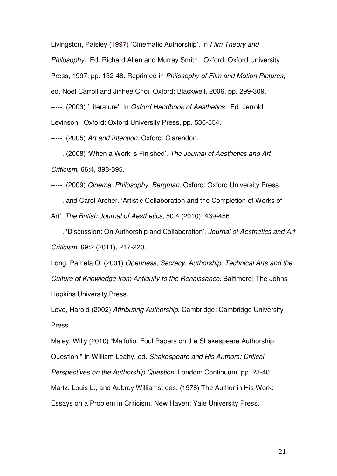Livingston, Paisley (1997) 'Cinematic Authorship'. In Film Theory and

Philosophy. Ed. Richard Allen and Murray Smith. Oxford: Oxford University

Press, 1997, pp. 132-48. Reprinted in Philosophy of Film and Motion Pictures,

ed. Noël Carroll and Jinhee Choi, Oxford: Blackwell, 2006, pp. 299-309.

-----. (2003) 'Literature'. In Oxford Handbook of Aesthetics. Ed. Jerrold Levinson. Oxford: Oxford University Press, pp. 536-554.

-----. (2005) Art and Intention. Oxford: Clarendon.

-----. (2008) 'When a Work is Finished'. The Journal of Aesthetics and Art Criticism, 66:4, 393-395.

-----. (2009) Cinema, Philosophy, Bergman. Oxford: Oxford University Press.

-----. and Carol Archer. 'Artistic Collaboration and the Completion of Works of

Art', The British Journal of Aesthetics, 50:4 (2010), 439-456.

-----. 'Discussion: On Authorship and Collaboration'. Journal of Aesthetics and Art Criticism, 69:2 (2011), 217-220.

Long, Pamela O. (2001) Openness, Secrecy, Authorship: Technical Arts and the Culture of Knowledge from Antiquity to the Renaissance. Baltimore: The Johns Hopkins University Press.

Love, Harold (2002) Attributing Authorship. Cambridge: Cambridge University Press.

Maley, Willy (2010) "Malfolio: Foul Papers on the Shakespeare Authorship Question." In William Leahy, ed. Shakespeare and His Authors: Critical Perspectives on the Authorship Question. London: Continuum, pp. 23-40. Martz, Louis L., and Aubrey Williams, eds. (1978) The Author in His Work: Essays on a Problem in Criticism. New Haven: Yale University Press.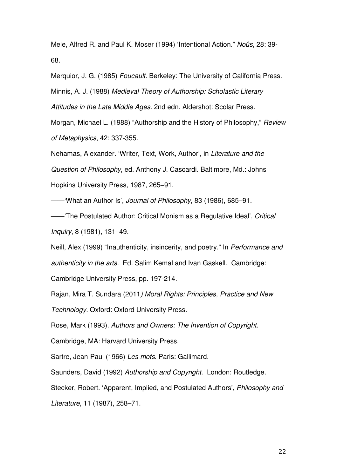Mele, Alfred R. and Paul K. Moser (1994) 'Intentional Action." Noûs, 28: 39- 68.

Merquior, J. G. (1985) Foucault. Berkeley: The University of California Press. Minnis, A. J. (1988) Medieval Theory of Authorship: Scholastic Literary Attitudes in the Late Middle Ages. 2nd edn. Aldershot: Scolar Press.

Morgan, Michael L. (1988) "Authorship and the History of Philosophy," Review

of Metaphysics, 42: 337-355.

Nehamas, Alexander. 'Writer, Text, Work, Author', in Literature and the Question of Philosophy, ed. Anthony J. Cascardi. Baltimore, Md.: Johns Hopkins University Press, 1987, 265–91.

——'What an Author Is', Journal of Philosophy, 83 (1986), 685–91.

——'The Postulated Author: Critical Monism as a Regulative Ideal', Critical Inquiry, 8 (1981), 131–49.

Neill, Alex (1999) "Inauthenticity, insincerity, and poetry." In Performance and authenticity in the arts. Ed. Salim Kemal and Ivan Gaskell. Cambridge: Cambridge University Press, pp. 197-214.

Rajan, Mira T. Sundara (2011) Moral Rights: Principles, Practice and New Technology. Oxford: Oxford University Press.

Rose, Mark (1993). Authors and Owners: The Invention of Copyright.

Cambridge, MA: Harvard University Press.

Sartre, Jean-Paul (1966) Les mots. Paris: Gallimard.

Saunders, David (1992) Authorship and Copyright. London: Routledge.

Stecker, Robert. 'Apparent, Implied, and Postulated Authors', Philosophy and Literature, 11 (1987), 258–71.